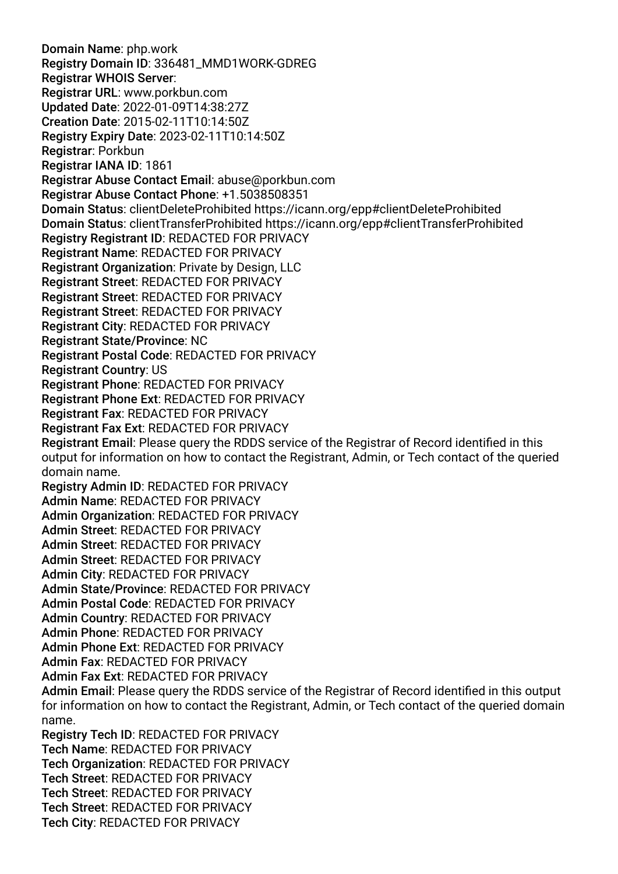Domain Name: php.work Registry Domain ID: 336481\_MMD1WORK-GDREG Registrar WHOIS Server: Registrar URL: www.porkbun.com Updated Date: 2022-01-09T14:38:27Z Creation Date: 2015-02-11T10:14:50Z Registry Expiry Date: 2023-02-11T10:14:50Z Registrar: Porkbun Registrar IANA ID: 1861 Registrar Abuse Contact Email: abuse@porkbun.com Registrar Abuse Contact Phone: +1.5038508351 Domain Status: clientDeleteProhibited https://icann.org/epp#clientDeleteProhibited Domain Status: clientTransferProhibited https://icann.org/epp#clientTransferProhibited Registry Registrant ID: REDACTED FOR PRIVACY Registrant Name: REDACTED FOR PRIVACY Registrant Organization: Private by Design, LLC Registrant Street: REDACTED FOR PRIVACY Registrant Street: REDACTED FOR PRIVACY Registrant Street: REDACTED FOR PRIVACY Registrant City: REDACTED FOR PRIVACY Registrant State/Province: NC Registrant Postal Code: REDACTED FOR PRIVACY Registrant Country: US Registrant Phone: REDACTED FOR PRIVACY Registrant Phone Ext: REDACTED FOR PRIVACY Registrant Fax: REDACTED FOR PRIVACY Registrant Fax Ext: REDACTED FOR PRIVACY Registrant Email: Please query the RDDS service of the Registrar of Record identifed in this output for information on how to contact the Registrant, Admin, or Tech contact of the queried domain name. Registry Admin ID: REDACTED FOR PRIVACY Admin Name: REDACTED FOR PRIVACY Admin Organization: REDACTED FOR PRIVACY Admin Street: REDACTED FOR PRIVACY Admin Street: REDACTED FOR PRIVACY Admin Street: REDACTED FOR PRIVACY Admin City: REDACTED FOR PRIVACY Admin State/Province: REDACTED FOR PRIVACY Admin Postal Code: REDACTED FOR PRIVACY Admin Country: REDACTED FOR PRIVACY Admin Phone: REDACTED FOR PRIVACY Admin Phone Ext: REDACTED FOR PRIVACY Admin Fax: REDACTED FOR PRIVACY Admin Fax Ext: REDACTED FOR PRIVACY Admin Email: Please query the RDDS service of the Registrar of Record identifed in this output for information on how to contact the Registrant, Admin, or Tech contact of the queried domain name. Registry Tech ID: REDACTED FOR PRIVACY Tech Name: REDACTED FOR PRIVACY Tech Organization: REDACTED FOR PRIVACY Tech Street: REDACTED FOR PRIVACY Tech Street: REDACTED FOR PRIVACY Tech Street: REDACTED FOR PRIVACY

Tech City: REDACTED FOR PRIVACY